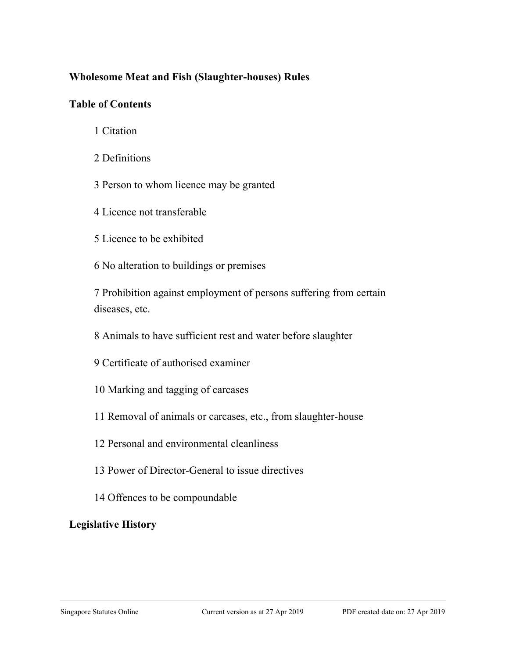#### **Wholesome Meat and Fish (Slaughter-houses) Rules**

#### **Table of Contents**

- 1 Citation
- 2 Definitions
- 3 Person to whom licence may be granted
- 4 Licence not transferable
- 5 Licence to be exhibited
- 6 No alteration to buildings or premises

7 Prohibition against employment of persons suffering from certain diseases, etc.

- 8 Animals to have sufficient rest and water before slaughter
- 9 Certificate of authorised examiner
- 10 Marking and tagging of carcases
- 11 Removal of animals or carcases, etc., from slaughter-house
- 12 Personal and environmental cleanliness
- 13 Power of Director-General to issue directives
- 14 Offences to be compoundable

## **Legislative History**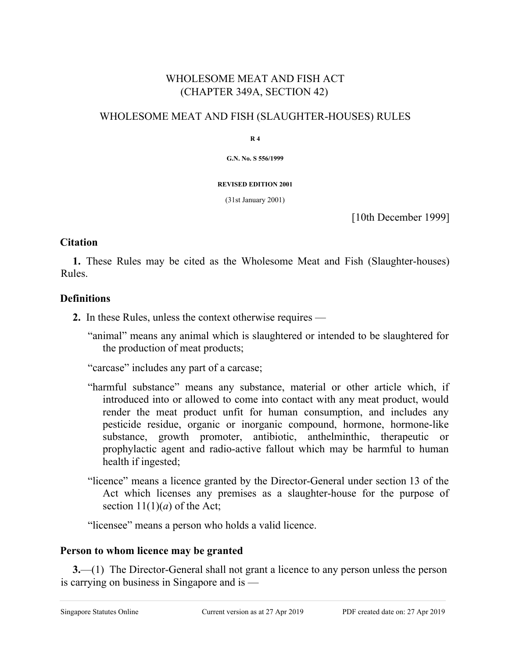# WHOLESOME MEAT AND FISH ACT (CHAPTER 349A, SECTION 42)

#### WHOLESOME MEAT AND FISH (SLAUGHTER-HOUSES) RULES

**R 4**

**G.N. No. S 556/1999**

#### **REVISED EDITION 2001**

(31st January 2001)

[10th December 1999]

#### **Citation**

**1.** These Rules may be cited as the Wholesome Meat and Fish (Slaughter-houses) Rules.

#### **Definitions**

- **2.** In these Rules, unless the context otherwise requires
	- "animal" means any animal which is slaughtered or intended to be slaughtered for the production of meat products;

"carcase" includes any part of a carcase;

- "harmful substance" means any substance, material or other article which, if introduced into or allowed to come into contact with any meat product, would render the meat product unfit for human consumption, and includes any pesticide residue, organic or inorganic compound, hormone, hormone-like substance, growth promoter, antibiotic, anthelminthic, therapeutic or prophylactic agent and radio-active fallout which may be harmful to human health if ingested;
- "licence" means a licence granted by the Director-General under section 13 of the Act which licenses any premises as a slaughter-house for the purpose of section  $11(1)(a)$  of the Act;

"licensee" means a person who holds a valid licence.

#### **Person to whom licence may be granted**

**3.**—(1) The Director-General shall not grant a licence to any person unless the person is carrying on business in Singapore and is —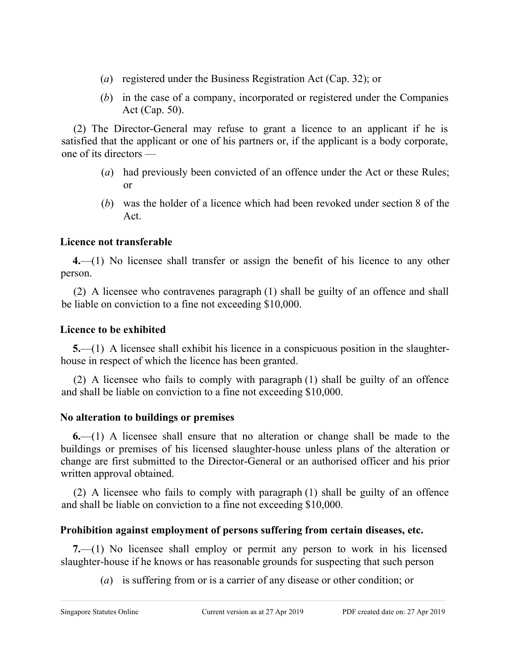- (*a*) registered under the Business Registration Act (Cap. 32); or
- (*b*) in the case of a company, incorporated or registered under the Companies Act (Cap. 50).

(2) The Director-General may refuse to grant a licence to an applicant if he is satisfied that the applicant or one of his partners or, if the applicant is a body corporate, one of its directors —

- (*a*) had previously been convicted of an offence under the Act or these Rules; or
- (*b*) was the holder of a licence which had been revoked under section 8 of the Act.

# **Licence not transferable**

**4.**—(1) No licensee shall transfer or assign the benefit of his licence to any other person.

(2) A licensee who contravenes paragraph (1) shall be guilty of an offence and shall be liable on conviction to a fine not exceeding \$10,000.

## **Licence to be exhibited**

**5.**—(1) A licensee shall exhibit his licence in a conspicuous position in the slaughterhouse in respect of which the licence has been granted.

(2) A licensee who fails to comply with paragraph (1) shall be guilty of an offence and shall be liable on conviction to a fine not exceeding \$10,000.

## **No alteration to buildings or premises**

**6.**—(1) A licensee shall ensure that no alteration or change shall be made to the buildings or premises of his licensed slaughter-house unless plans of the alteration or change are first submitted to the Director-General or an authorised officer and his prior written approval obtained.

(2) A licensee who fails to comply with paragraph (1) shall be guilty of an offence and shall be liable on conviction to a fine not exceeding \$10,000.

## **Prohibition against employment of persons suffering from certain diseases, etc.**

**7.**—(1) No licensee shall employ or permit any person to work in his licensed slaughter-house if he knows or has reasonable grounds for suspecting that such person

(*a*) is suffering from or is a carrier of any disease or other condition; or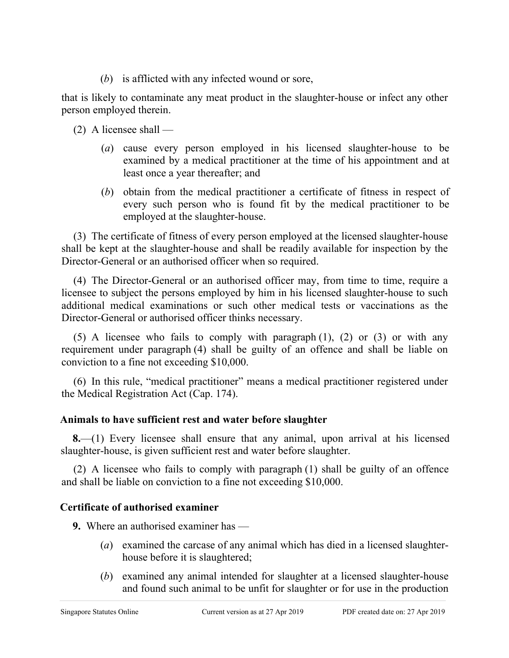(*b*) is afflicted with any infected wound or sore,

that is likely to contaminate any meat product in the slaughter-house or infect any other person employed therein.

 $(2)$  A licensee shall —

- (*a*) cause every person employed in his licensed slaughter-house to be examined by a medical practitioner at the time of his appointment and at least once a year thereafter; and
- (*b*) obtain from the medical practitioner a certificate of fitness in respect of every such person who is found fit by the medical practitioner to be employed at the slaughter-house.

(3) The certificate of fitness of every person employed at the licensed slaughter-house shall be kept at the slaughter-house and shall be readily available for inspection by the Director-General or an authorised officer when so required.

(4) The Director-General or an authorised officer may, from time to time, require a licensee to subject the persons employed by him in his licensed slaughter-house to such additional medical examinations or such other medical tests or vaccinations as the Director-General or authorised officer thinks necessary.

(5) A licensee who fails to comply with paragraph (1), (2) or (3) or with any requirement under paragraph (4) shall be guilty of an offence and shall be liable on conviction to a fine not exceeding \$10,000.

(6) In this rule, "medical practitioner" means a medical practitioner registered under the Medical Registration Act (Cap. 174).

## **Animals to have sufficient rest and water before slaughter**

**8.**—(1) Every licensee shall ensure that any animal, upon arrival at his licensed slaughter-house, is given sufficient rest and water before slaughter.

(2) A licensee who fails to comply with paragraph (1) shall be guilty of an offence and shall be liable on conviction to a fine not exceeding \$10,000.

# **Certificate of authorised examiner**

**9.** Where an authorised examiner has —

- (*a*) examined the carcase of any animal which has died in a licensed slaughterhouse before it is slaughtered;
- (*b*) examined any animal intended for slaughter at a licensed slaughter-house and found such animal to be unfit for slaughter or for use in the production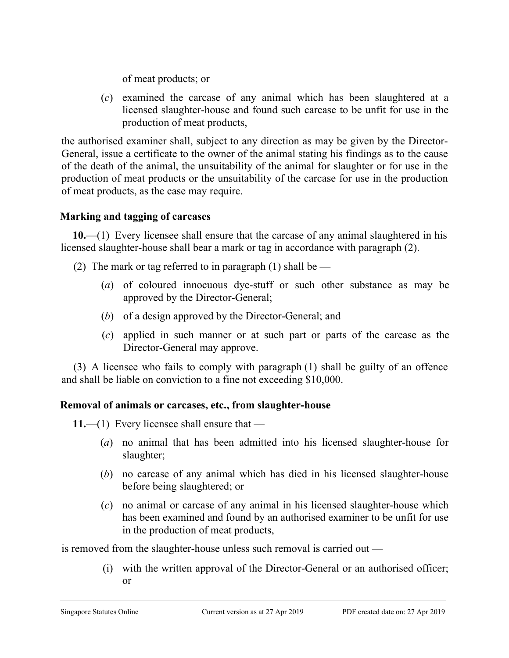of meat products; or

(*c*) examined the carcase of any animal which has been slaughtered at a licensed slaughter-house and found such carcase to be unfit for use in the production of meat products,

the authorised examiner shall, subject to any direction as may be given by the Director-General, issue a certificate to the owner of the animal stating his findings as to the cause of the death of the animal, the unsuitability of the animal for slaughter or for use in the production of meat products or the unsuitability of the carcase for use in the production of meat products, as the case may require.

# **Marking and tagging of carcases**

**10.**—(1) Every licensee shall ensure that the carcase of any animal slaughtered in his licensed slaughter-house shall bear a mark or tag in accordance with paragraph (2).

- (2) The mark or tag referred to in paragraph (1) shall be  $-$ 
	- (*a*) of coloured innocuous dye-stuff or such other substance as may be approved by the Director-General;
	- (*b*) of a design approved by the Director-General; and
	- (*c*) applied in such manner or at such part or parts of the carcase as the Director-General may approve.

(3) A licensee who fails to comply with paragraph (1) shall be guilty of an offence and shall be liable on conviction to a fine not exceeding \$10,000.

# **Removal of animals or carcases, etc., from slaughter-house**

**11.**—(1) Every licensee shall ensure that —

- (*a*) no animal that has been admitted into his licensed slaughter-house for slaughter;
- (*b*) no carcase of any animal which has died in his licensed slaughter-house before being slaughtered; or
- (*c*) no animal or carcase of any animal in his licensed slaughter-house which has been examined and found by an authorised examiner to be unfit for use in the production of meat products,

is removed from the slaughter-house unless such removal is carried out —

(i) with the written approval of the Director-General or an authorised officer; or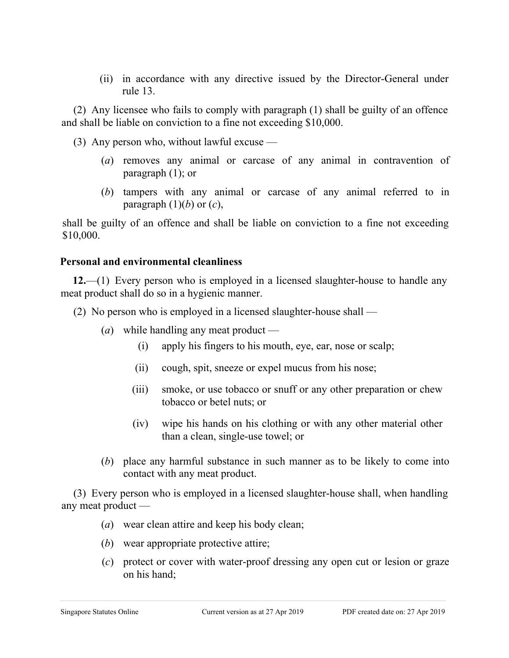(ii) in accordance with any directive issued by the Director-General under rule 13.

(2) Any licensee who fails to comply with paragraph (1) shall be guilty of an offence and shall be liable on conviction to a fine not exceeding \$10,000.

(3) Any person who, without lawful excuse —

- (*a*) removes any animal or carcase of any animal in contravention of paragraph (1); or
- (*b*) tampers with any animal or carcase of any animal referred to in paragraph  $(1)(b)$  or  $(c)$ ,

shall be guilty of an offence and shall be liable on conviction to a fine not exceeding \$10,000.

#### **Personal and environmental cleanliness**

**12.**—(1) Every person who is employed in a licensed slaughter-house to handle any meat product shall do so in a hygienic manner.

(2) No person who is employed in a licensed slaughter-house shall —

- (*a*) while handling any meat product
	- (i) apply his fingers to his mouth, eye, ear, nose or scalp;
	- (ii) cough, spit, sneeze or expel mucus from his nose;
	- (iii) smoke, or use tobacco or snuff or any other preparation or chew tobacco or betel nuts; or
	- (iv) wipe his hands on his clothing or with any other material other than a clean, single-use towel; or
- (*b*) place any harmful substance in such manner as to be likely to come into contact with any meat product.

(3) Every person who is employed in a licensed slaughter-house shall, when handling any meat product —

- (*a*) wear clean attire and keep his body clean;
- (*b*) wear appropriate protective attire;
- (*c*) protect or cover with water-proof dressing any open cut or lesion or graze on his hand;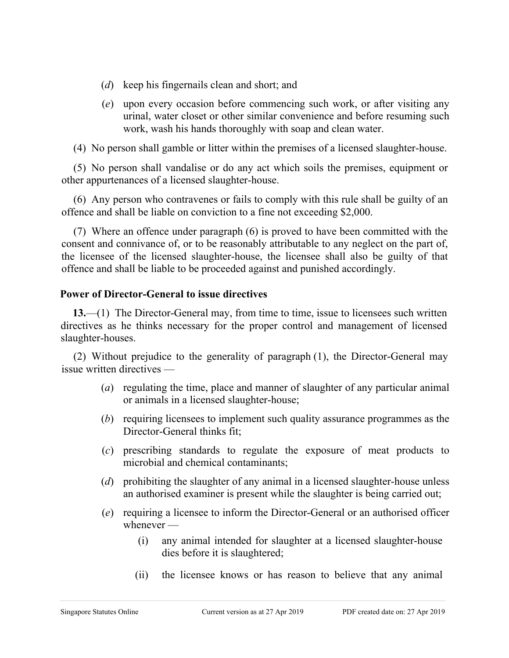- (*d*) keep his fingernails clean and short; and
- (*e*) upon every occasion before commencing such work, or after visiting any urinal, water closet or other similar convenience and before resuming such work, wash his hands thoroughly with soap and clean water.

(4) No person shall gamble or litter within the premises of a licensed slaughter-house.

(5) No person shall vandalise or do any act which soils the premises, equipment or other appurtenances of a licensed slaughter-house.

(6) Any person who contravenes or fails to comply with this rule shall be guilty of an offence and shall be liable on conviction to a fine not exceeding \$2,000.

(7) Where an offence under paragraph (6) is proved to have been committed with the consent and connivance of, or to be reasonably attributable to any neglect on the part of, the licensee of the licensed slaughter-house, the licensee shall also be guilty of that offence and shall be liable to be proceeded against and punished accordingly.

#### **Power of Director-General to issue directives**

**13.**—(1) The Director-General may, from time to time, issue to licensees such written directives as he thinks necessary for the proper control and management of licensed slaughter-houses.

(2) Without prejudice to the generality of paragraph (1), the Director-General may issue written directives —

- (*a*) regulating the time, place and manner of slaughter of any particular animal or animals in a licensed slaughter-house;
- (*b*) requiring licensees to implement such quality assurance programmes as the Director-General thinks fit;
- (*c*) prescribing standards to regulate the exposure of meat products to microbial and chemical contaminants;
- (*d*) prohibiting the slaughter of any animal in a licensed slaughter-house unless an authorised examiner is present while the slaughter is being carried out;
- (*e*) requiring a licensee to inform the Director-General or an authorised officer whenever —
	- (i) any animal intended for slaughter at a licensed slaughter-house dies before it is slaughtered;
	- (ii) the licensee knows or has reason to believe that any animal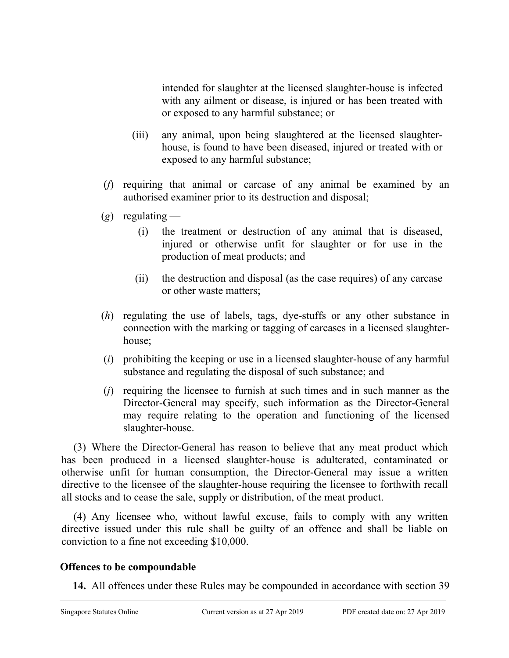intended for slaughter at the licensed slaughter-house is infected with any ailment or disease, is injured or has been treated with or exposed to any harmful substance; or

- (iii) any animal, upon being slaughtered at the licensed slaughterhouse, is found to have been diseased, injured or treated with or exposed to any harmful substance;
- (*f*) requiring that animal or carcase of any animal be examined by an authorised examiner prior to its destruction and disposal;
- (*g*) regulating
	- (i) the treatment or destruction of any animal that is diseased, injured or otherwise unfit for slaughter or for use in the production of meat products; and
	- (ii) the destruction and disposal (as the case requires) of any carcase or other waste matters;
- (*h*) regulating the use of labels, tags, dye-stuffs or any other substance in connection with the marking or tagging of carcases in a licensed slaughterhouse;
- (*i*) prohibiting the keeping or use in a licensed slaughter-house of any harmful substance and regulating the disposal of such substance; and
- (*j*) requiring the licensee to furnish at such times and in such manner as the Director-General may specify, such information as the Director-General may require relating to the operation and functioning of the licensed slaughter-house.

(3) Where the Director-General has reason to believe that any meat product which has been produced in a licensed slaughter-house is adulterated, contaminated or otherwise unfit for human consumption, the Director-General may issue a written directive to the licensee of the slaughter-house requiring the licensee to forthwith recall all stocks and to cease the sale, supply or distribution, of the meat product.

(4) Any licensee who, without lawful excuse, fails to comply with any written directive issued under this rule shall be guilty of an offence and shall be liable on conviction to a fine not exceeding \$10,000.

#### **Offences to be compoundable**

**14.** All offences under these Rules may be compounded in accordance with section 39